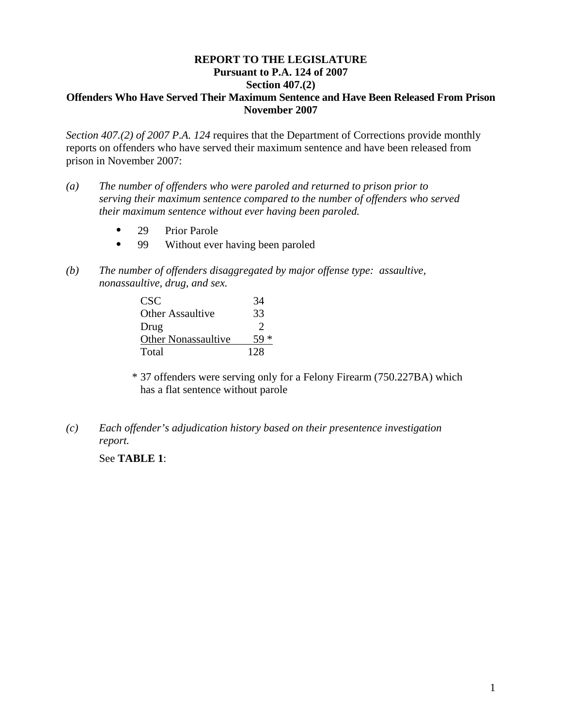## **REPORT TO THE LEGISLATURE Pursuant to P.A. 124 of 2007 Section 407.(2) Offenders Who Have Served Their Maximum Sentence and Have Been Released From Prison November 2007**

*Section 407.(2) of 2007 P.A. 124* requires that the Department of Corrections provide monthly reports on offenders who have served their maximum sentence and have been released from prison in November 2007:

- *(a) The number of offenders who were paroled and returned to prison prior to serving their maximum sentence compared to the number of offenders who served their maximum sentence without ever having been paroled.* 
	- 29 Prior Parole
	- 99 Without ever having been paroled
- *(b) The number of offenders disaggregated by major offense type: assaultive, nonassaultive, drug, and sex.*

| CSC <sup>-</sup>           | 34  |
|----------------------------|-----|
| Other Assaultive           | 33  |
| Drug                       | 2   |
| <b>Other Nonassaultive</b> |     |
| Total                      | 128 |

\* 37 offenders were serving only for a Felony Firearm (750.227BA) which has a flat sentence without parole

*(c) Each offender's adjudication history based on their presentence investigation report.* 

See **TABLE 1**: